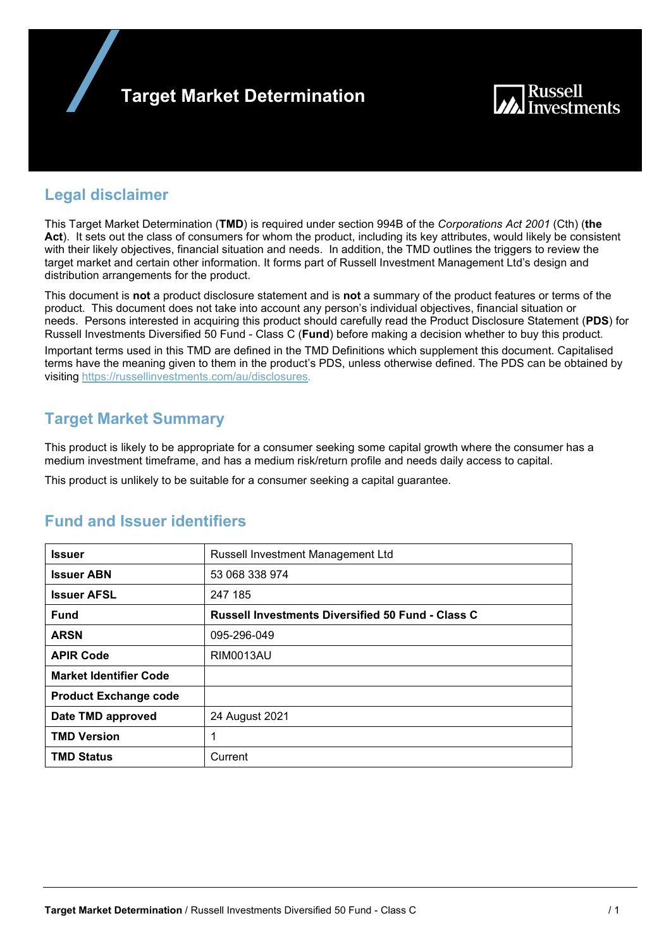



## **Legal disclaimer**

This Target Market Determination (**TMD**) is required under section 994B of the *Corporations Act 2001* (Cth) (**the Act**). It sets out the class of consumers for whom the product, including its key attributes, would likely be consistent with their likely objectives, financial situation and needs. In addition, the TMD outlines the triggers to review the target market and certain other information. It forms part of Russell Investment Management Ltd's design and distribution arrangements for the product.

This document is **not** a product disclosure statement and is **not** a summary of the product features or terms of the product. This document does not take into account any person's individual objectives, financial situation or needs. Persons interested in acquiring this product should carefully read the Product Disclosure Statement (**PDS**) for Russell Investments Diversified 50 Fund - Class C (**Fund**) before making a decision whether to buy this product. Important terms used in this TMD are defined in the TMD Definitions which supplement this document. Capitalised terms have the meaning given to them in the product's PDS, unless otherwise defined. The PDS can be obtained by visiting https://russellinvestments.com/au/disclosures.

# **Target Market Summary**

This product is likely to be appropriate for a consumer seeking some capital growth where the consumer has a medium investment timeframe, and has a medium risk/return profile and needs daily access to capital.

This product is unlikely to be suitable for a consumer seeking a capital guarantee.

| <b>Issuer</b>                 | Russell Investment Management Ltd                        |
|-------------------------------|----------------------------------------------------------|
| <b>Issuer ABN</b>             | 53 068 338 974                                           |
| <b>Issuer AFSL</b>            | 247 185                                                  |
| <b>Fund</b>                   | <b>Russell Investments Diversified 50 Fund - Class C</b> |
| <b>ARSN</b>                   | 095-296-049                                              |
| <b>APIR Code</b>              | <b>RIM0013AU</b>                                         |
| <b>Market Identifier Code</b> |                                                          |
| <b>Product Exchange code</b>  |                                                          |
| Date TMD approved             | 24 August 2021                                           |
| <b>TMD Version</b>            | 1                                                        |
| <b>TMD Status</b>             | Current                                                  |

## **Fund and Issuer identifiers**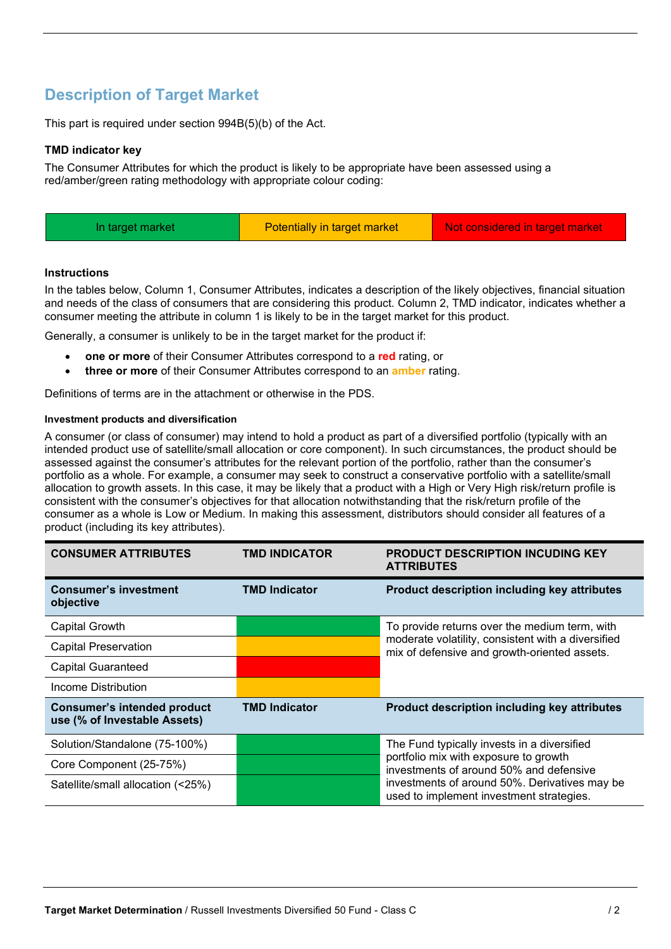# **Description of Target Market**

This part is required under section 994B(5)(b) of the Act.

### **TMD indicator key**

The Consumer Attributes for which the product is likely to be appropriate have been assessed using a red/amber/green rating methodology with appropriate colour coding:

| Potentially in target market<br>Not considered in target market<br>In target market |  |
|-------------------------------------------------------------------------------------|--|
|-------------------------------------------------------------------------------------|--|

### **Instructions**

In the tables below, Column 1, Consumer Attributes, indicates a description of the likely objectives, financial situation and needs of the class of consumers that are considering this product. Column 2, TMD indicator, indicates whether a consumer meeting the attribute in column 1 is likely to be in the target market for this product.

Generally, a consumer is unlikely to be in the target market for the product if:

- **one or more** of their Consumer Attributes correspond to a **red** rating, or
- **three or more** of their Consumer Attributes correspond to an **amber** rating.

Definitions of terms are in the attachment or otherwise in the PDS.

### **Investment products and diversification**

A consumer (or class of consumer) may intend to hold a product as part of a diversified portfolio (typically with an intended product use of satellite/small allocation or core component). In such circumstances, the product should be assessed against the consumer's attributes for the relevant portion of the portfolio, rather than the consumer's portfolio as a whole. For example, a consumer may seek to construct a conservative portfolio with a satellite/small allocation to growth assets. In this case, it may be likely that a product with a High or Very High risk/return profile is consistent with the consumer's objectives for that allocation notwithstanding that the risk/return profile of the consumer as a whole is Low or Medium. In making this assessment, distributors should consider all features of a product (including its key attributes).

| <b>CONSUMER ATTRIBUTES</b>                                  | <b>TMD INDICATOR</b> | <b>PRODUCT DESCRIPTION INCUDING KEY</b><br><b>ATTRIBUTES</b>                                       |  |
|-------------------------------------------------------------|----------------------|----------------------------------------------------------------------------------------------------|--|
| <b>Consumer's investment</b><br>objective                   | <b>TMD Indicator</b> | Product description including key attributes                                                       |  |
| Capital Growth                                              |                      | To provide returns over the medium term, with                                                      |  |
| <b>Capital Preservation</b>                                 |                      | moderate volatility, consistent with a diversified<br>mix of defensive and growth-oriented assets. |  |
| <b>Capital Guaranteed</b>                                   |                      |                                                                                                    |  |
| Income Distribution                                         |                      |                                                                                                    |  |
| Consumer's intended product<br>use (% of Investable Assets) | <b>TMD Indicator</b> | Product description including key attributes                                                       |  |
| Solution/Standalone (75-100%)                               |                      | The Fund typically invests in a diversified                                                        |  |
| Core Component (25-75%)                                     |                      | portfolio mix with exposure to growth<br>investments of around 50% and defensive                   |  |
| Satellite/small allocation (<25%)                           |                      | investments of around 50%. Derivatives may be<br>used to implement investment strategies.          |  |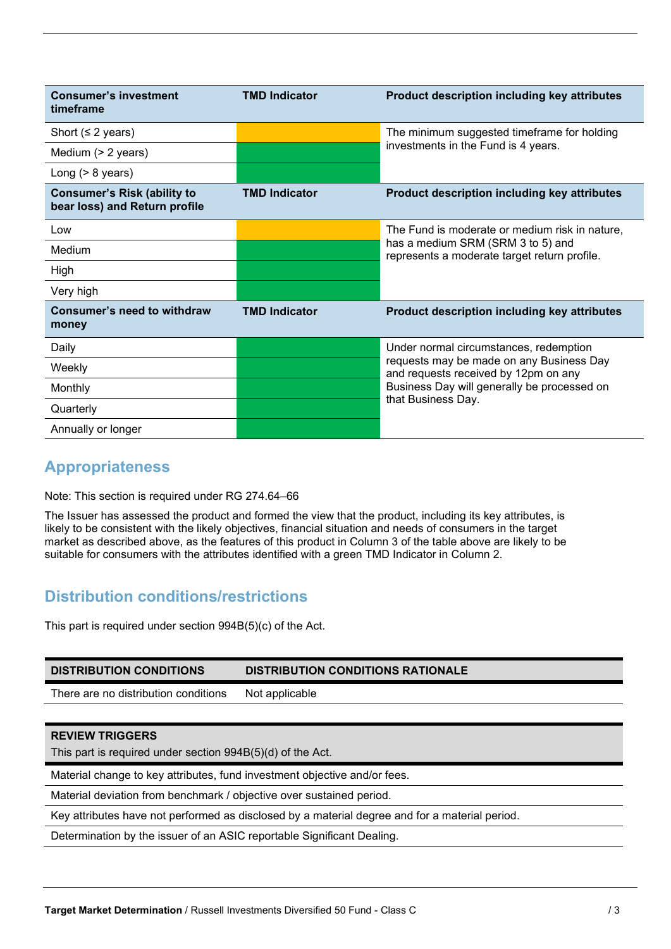| <b>Consumer's investment</b><br>timeframe                           | <b>TMD Indicator</b> | <b>Product description including key attributes</b>                                                                                                                       |  |
|---------------------------------------------------------------------|----------------------|---------------------------------------------------------------------------------------------------------------------------------------------------------------------------|--|
| Short ( $\leq$ 2 years)                                             |                      | The minimum suggested timeframe for holding                                                                                                                               |  |
| Medium (> 2 years)                                                  |                      | investments in the Fund is 4 years.                                                                                                                                       |  |
| Long $(> 8$ years)                                                  |                      |                                                                                                                                                                           |  |
| <b>Consumer's Risk (ability to</b><br>bear loss) and Return profile | <b>TMD Indicator</b> | <b>Product description including key attributes</b>                                                                                                                       |  |
| Low                                                                 |                      | The Fund is moderate or medium risk in nature,                                                                                                                            |  |
| Medium                                                              |                      | has a medium SRM (SRM 3 to 5) and<br>represents a moderate target return profile.                                                                                         |  |
| High                                                                |                      |                                                                                                                                                                           |  |
| Very high                                                           |                      |                                                                                                                                                                           |  |
| <b>Consumer's need to withdraw</b><br>money                         | <b>TMD Indicator</b> | <b>Product description including key attributes</b>                                                                                                                       |  |
| Daily                                                               |                      | Under normal circumstances, redemption<br>requests may be made on any Business Day<br>and requests received by 12pm on any<br>Business Day will generally be processed on |  |
| Weekly                                                              |                      |                                                                                                                                                                           |  |
| Monthly                                                             |                      |                                                                                                                                                                           |  |
| Quarterly                                                           |                      | that Business Day.                                                                                                                                                        |  |
| Annually or longer                                                  |                      |                                                                                                                                                                           |  |

# **Appropriateness**

Note: This section is required under RG 274.64–66

The Issuer has assessed the product and formed the view that the product, including its key attributes, is likely to be consistent with the likely objectives, financial situation and needs of consumers in the target market as described above, as the features of this product in Column 3 of the table above are likely to be suitable for consumers with the attributes identified with a green TMD Indicator in Column 2.

# **Distribution conditions/restrictions**

This part is required under section 994B(5)(c) of the Act.

| <b>DISTRIBUTION CONDITIONS</b>                                                                 | <b>DISTRIBUTION CONDITIONS RATIONALE</b> |  |
|------------------------------------------------------------------------------------------------|------------------------------------------|--|
| There are no distribution conditions                                                           | Not applicable                           |  |
|                                                                                                |                                          |  |
| <b>REVIEW TRIGGERS</b>                                                                         |                                          |  |
| This part is required under section 994B(5)(d) of the Act.                                     |                                          |  |
| Material change to key attributes, fund investment objective and/or fees.                      |                                          |  |
| Material deviation from benchmark / objective over sustained period.                           |                                          |  |
| Key attributes have not performed as disclosed by a material degree and for a material period. |                                          |  |
| Determination by the issuer of an ASIC reportable Significant Dealing.                         |                                          |  |
|                                                                                                |                                          |  |
|                                                                                                |                                          |  |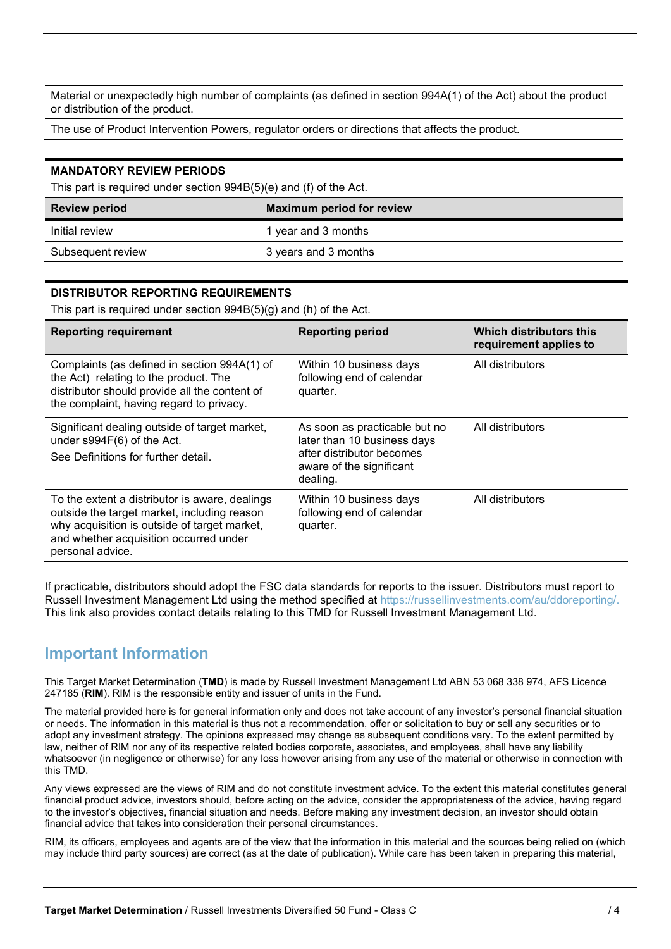Material or unexpectedly high number of complaints (as defined in section 994A(1) of the Act) about the product or distribution of the product.

The use of Product Intervention Powers, regulator orders or directions that affects the product.

#### **MANDATORY REVIEW PERIODS**

This part is required under section 994B(5)(e) and (f) of the Act.

| <b>Review period</b> | <b>Maximum period for review</b> |
|----------------------|----------------------------------|
| Initial review       | 1 year and 3 months              |
| Subsequent review    | 3 years and 3 months             |

### **DISTRIBUTOR REPORTING REQUIREMENTS**

This part is required under section 994B(5)(g) and (h) of the Act.

| <b>Reporting requirement</b>                                                                                                                                                                                | <b>Reporting period</b>                                                                                                           | Which distributors this<br>requirement applies to |
|-------------------------------------------------------------------------------------------------------------------------------------------------------------------------------------------------------------|-----------------------------------------------------------------------------------------------------------------------------------|---------------------------------------------------|
| Complaints (as defined in section 994A(1) of<br>the Act) relating to the product. The<br>distributor should provide all the content of<br>the complaint, having regard to privacy.                          | Within 10 business days<br>following end of calendar<br>quarter.                                                                  | All distributors                                  |
| Significant dealing outside of target market,<br>under s994F(6) of the Act.<br>See Definitions for further detail.                                                                                          | As soon as practicable but no<br>later than 10 business days<br>after distributor becomes<br>aware of the significant<br>dealing. | All distributors                                  |
| To the extent a distributor is aware, dealings<br>outside the target market, including reason<br>why acquisition is outside of target market,<br>and whether acquisition occurred under<br>personal advice. | Within 10 business days<br>following end of calendar<br>quarter.                                                                  | All distributors                                  |

If practicable, distributors should adopt the FSC data standards for reports to the issuer. Distributors must report to Russell Investment Management Ltd using the method specified at https://russellinvestments.com/au/ddoreporting/. This link also provides contact details relating to this TMD for Russell Investment Management Ltd.

### **Important Information**

This Target Market Determination (**TMD**) is made by Russell Investment Management Ltd ABN 53 068 338 974, AFS Licence 247185 (**RIM**). RIM is the responsible entity and issuer of units in the Fund.

The material provided here is for general information only and does not take account of any investor's personal financial situation or needs. The information in this material is thus not a recommendation, offer or solicitation to buy or sell any securities or to adopt any investment strategy. The opinions expressed may change as subsequent conditions vary. To the extent permitted by law, neither of RIM nor any of its respective related bodies corporate, associates, and employees, shall have any liability whatsoever (in negligence or otherwise) for any loss however arising from any use of the material or otherwise in connection with this TMD.

Any views expressed are the views of RIM and do not constitute investment advice. To the extent this material constitutes general financial product advice, investors should, before acting on the advice, consider the appropriateness of the advice, having regard to the investor's objectives, financial situation and needs. Before making any investment decision, an investor should obtain financial advice that takes into consideration their personal circumstances.

RIM, its officers, employees and agents are of the view that the information in this material and the sources being relied on (which may include third party sources) are correct (as at the date of publication). While care has been taken in preparing this material,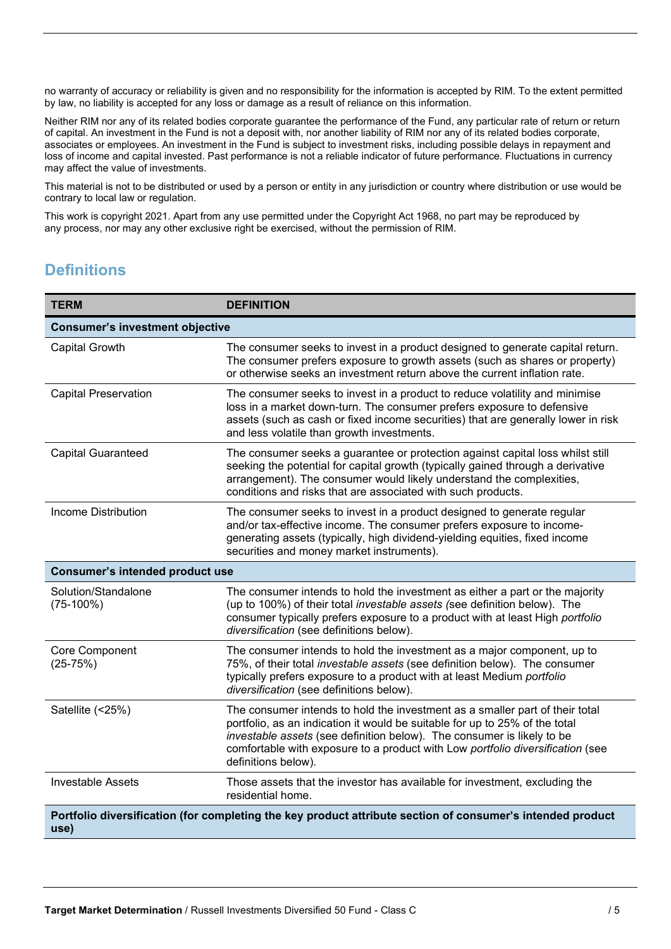no warranty of accuracy or reliability is given and no responsibility for the information is accepted by RIM. To the extent permitted by law, no liability is accepted for any loss or damage as a result of reliance on this information.

Neither RIM nor any of its related bodies corporate guarantee the performance of the Fund, any particular rate of return or return of capital. An investment in the Fund is not a deposit with, nor another liability of RIM nor any of its related bodies corporate, associates or employees. An investment in the Fund is subject to investment risks, including possible delays in repayment and loss of income and capital invested. Past performance is not a reliable indicator of future performance. Fluctuations in currency may affect the value of investments.

This material is not to be distributed or used by a person or entity in any jurisdiction or country where distribution or use would be contrary to local law or regulation.

This work is copyright 2021. Apart from any use permitted under the Copyright Act 1968, no part may be reproduced by any process, nor may any other exclusive right be exercised, without the permission of RIM.

# **Definitions**

| <b>TERM</b>                            | <b>DEFINITION</b>                                                                                                                                                                                                                                                                                                                              |
|----------------------------------------|------------------------------------------------------------------------------------------------------------------------------------------------------------------------------------------------------------------------------------------------------------------------------------------------------------------------------------------------|
| <b>Consumer's investment objective</b> |                                                                                                                                                                                                                                                                                                                                                |
| <b>Capital Growth</b>                  | The consumer seeks to invest in a product designed to generate capital return.<br>The consumer prefers exposure to growth assets (such as shares or property)<br>or otherwise seeks an investment return above the current inflation rate.                                                                                                     |
| <b>Capital Preservation</b>            | The consumer seeks to invest in a product to reduce volatility and minimise<br>loss in a market down-turn. The consumer prefers exposure to defensive<br>assets (such as cash or fixed income securities) that are generally lower in risk<br>and less volatile than growth investments.                                                       |
| <b>Capital Guaranteed</b>              | The consumer seeks a guarantee or protection against capital loss whilst still<br>seeking the potential for capital growth (typically gained through a derivative<br>arrangement). The consumer would likely understand the complexities,<br>conditions and risks that are associated with such products.                                      |
| <b>Income Distribution</b>             | The consumer seeks to invest in a product designed to generate regular<br>and/or tax-effective income. The consumer prefers exposure to income-<br>generating assets (typically, high dividend-yielding equities, fixed income<br>securities and money market instruments).                                                                    |
| <b>Consumer's intended product use</b> |                                                                                                                                                                                                                                                                                                                                                |
| Solution/Standalone<br>$(75-100%)$     | The consumer intends to hold the investment as either a part or the majority<br>(up to 100%) of their total investable assets (see definition below). The<br>consumer typically prefers exposure to a product with at least High portfolio<br>diversification (see definitions below).                                                         |
| Core Component<br>$(25-75%)$           | The consumer intends to hold the investment as a major component, up to<br>75%, of their total investable assets (see definition below). The consumer<br>typically prefers exposure to a product with at least Medium portfolio<br>diversification (see definitions below).                                                                    |
| Satellite (<25%)                       | The consumer intends to hold the investment as a smaller part of their total<br>portfolio, as an indication it would be suitable for up to 25% of the total<br>investable assets (see definition below). The consumer is likely to be<br>comfortable with exposure to a product with Low portfolio diversification (see<br>definitions below). |
| <b>Investable Assets</b>               | Those assets that the investor has available for investment, excluding the<br>residential home.                                                                                                                                                                                                                                                |
| use)                                   | Portfolio diversification (for completing the key product attribute section of consumer's intended product                                                                                                                                                                                                                                     |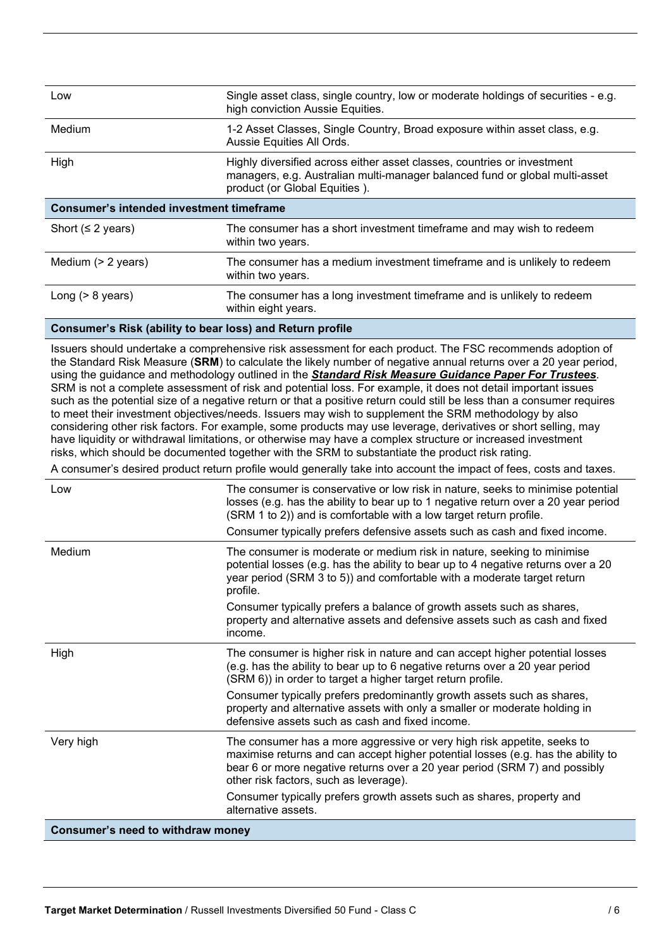| Low                                             | Single asset class, single country, low or moderate holdings of securities - e.g.<br>high conviction Aussie Equities.                                                                   |  |
|-------------------------------------------------|-----------------------------------------------------------------------------------------------------------------------------------------------------------------------------------------|--|
| Medium                                          | 1-2 Asset Classes, Single Country, Broad exposure within asset class, e.g.<br>Aussie Equities All Ords.                                                                                 |  |
| High                                            | Highly diversified across either asset classes, countries or investment<br>managers, e.g. Australian multi-manager balanced fund or global multi-asset<br>product (or Global Equities). |  |
| <b>Consumer's intended investment timeframe</b> |                                                                                                                                                                                         |  |
| Short ( $\leq$ 2 years)                         | The consumer has a short investment timeframe and may wish to redeem<br>within two years.                                                                                               |  |
| Medium $(> 2$ years)                            | The consumer has a medium investment timeframe and is unlikely to redeem<br>within two years.                                                                                           |  |
| Long $(> 8$ years)                              | The consumer has a long investment timeframe and is unlikely to redeem<br>within eight years.                                                                                           |  |

### **Consumer's Risk (ability to bear loss) and Return profile**

Issuers should undertake a comprehensive risk assessment for each product. The FSC recommends adoption of the Standard Risk Measure (**SRM**) to calculate the likely number of negative annual returns over a 20 year period, using the guidance and methodology outlined in the *Standard Risk Measure Guidance Paper For Trustees*. SRM is not a complete assessment of risk and potential loss. For example, it does not detail important issues such as the potential size of a negative return or that a positive return could still be less than a consumer requires to meet their investment objectives/needs. Issuers may wish to supplement the SRM methodology by also considering other risk factors. For example, some products may use leverage, derivatives or short selling, may have liquidity or withdrawal limitations, or otherwise may have a complex structure or increased investment risks, which should be documented together with the SRM to substantiate the product risk rating.

A consumer's desired product return profile would generally take into account the impact of fees, costs and taxes.

| Low                               | The consumer is conservative or low risk in nature, seeks to minimise potential<br>losses (e.g. has the ability to bear up to 1 negative return over a 20 year period<br>(SRM 1 to 2)) and is comfortable with a low target return profile.<br>Consumer typically prefers defensive assets such as cash and fixed income. |
|-----------------------------------|---------------------------------------------------------------------------------------------------------------------------------------------------------------------------------------------------------------------------------------------------------------------------------------------------------------------------|
| Medium                            | The consumer is moderate or medium risk in nature, seeking to minimise<br>potential losses (e.g. has the ability to bear up to 4 negative returns over a 20<br>year period (SRM 3 to 5)) and comfortable with a moderate target return<br>profile.                                                                        |
|                                   | Consumer typically prefers a balance of growth assets such as shares,<br>property and alternative assets and defensive assets such as cash and fixed<br>income.                                                                                                                                                           |
| High                              | The consumer is higher risk in nature and can accept higher potential losses<br>(e.g. has the ability to bear up to 6 negative returns over a 20 year period<br>(SRM 6)) in order to target a higher target return profile.                                                                                               |
|                                   | Consumer typically prefers predominantly growth assets such as shares,<br>property and alternative assets with only a smaller or moderate holding in<br>defensive assets such as cash and fixed income.                                                                                                                   |
| Very high                         | The consumer has a more aggressive or very high risk appetite, seeks to<br>maximise returns and can accept higher potential losses (e.g. has the ability to<br>bear 6 or more negative returns over a 20 year period (SRM 7) and possibly<br>other risk factors, such as leverage).                                       |
|                                   | Consumer typically prefers growth assets such as shares, property and<br>alternative assets.                                                                                                                                                                                                                              |
| Consumer's need to withdraw money |                                                                                                                                                                                                                                                                                                                           |